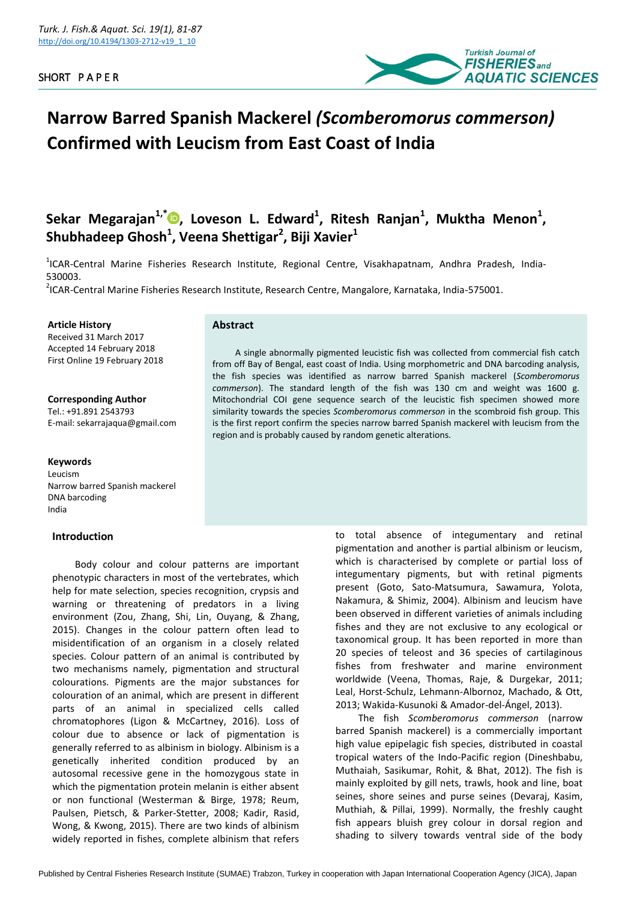

# **Narrow Barred Spanish Mackerel** *(Scomberomorus commerson)*  **Confirmed with Leucism from East Coast of India**

**Sekar Megarajan1,\* [,](https://orcid.org/0000-0002-6259-8912) Loveson L. Edward<sup>1</sup> , Ritesh Ranjan<sup>1</sup> , Muktha Menon<sup>1</sup> , Shubhadeep Ghosh<sup>1</sup> , Veena Shettigar<sup>2</sup> , Biji Xavier<sup>1</sup>**

<sup>1</sup>ICAR-Central Marine Fisheries Research Institute, Regional Centre, Visakhapatnam, Andhra Pradesh, India-530003.

2 ICAR-Central Marine Fisheries Research Institute, Research Centre, Mangalore, Karnataka, India-575001.

### **Article History**

Received 31 March 2017 Accepted 14 February 2018 First Online 19 February 2018

**Corresponding Author** Tel.: +91.891 2543793 E-mail: sekarrajaqua@gmail.com

## **Keywords**

Leucism Narrow barred Spanish mackerel DNA barcoding India

# **Introduction**

Body colour and colour patterns are important phenotypic characters in most of the vertebrates, which help for mate selection, species recognition, crypsis and warning or threatening of predators in a living environment (Zou, Zhang, Shi, Lin, Ouyang, & Zhang, 2015). Changes in the colour pattern often lead to misidentification of an organism in a closely related species. Colour pattern of an animal is contributed by two mechanisms namely, pigmentation and structural colourations. Pigments are the major substances for colouration of an animal, which are present in different parts of an animal in specialized cells called chromatophores (Ligon & McCartney, 2016). Loss of colour due to absence or lack of pigmentation is generally referred to as albinism in biology. Albinism is a genetically inherited condition produced by an autosomal recessive gene in the homozygous state in which the pigmentation protein melanin is either absent or non functional (Westerman & Birge, 1978; Reum, Paulsen, Pietsch, & Parker-Stetter, 2008; Kadir, Rasid, Wong, & Kwong, 2015). There are two kinds of albinism widely reported in fishes, complete albinism that refers

# **Abstract**

A single abnormally pigmented leucistic fish was collected from commercial fish catch from off Bay of Bengal, east coast of India. Using morphometric and DNA barcoding analysis, the fish species was identified as narrow barred Spanish mackerel (*Scomberomorus commerson*). The standard length of the fish was 130 cm and weight was 1600 g. Mitochondrial COI gene sequence search of the leucistic fish specimen showed more similarity towards the species *Scomberomorus commerson* in the scombroid fish group. This is the first report confirm the species narrow barred Spanish mackerel with leucism from the region and is probably caused by random genetic alterations.

> to total absence of integumentary and retinal pigmentation and another is partial albinism or leucism, which is characterised by complete or partial loss of integumentary pigments, but with retinal pigments present (Goto, Sato-Matsumura, Sawamura, Yolota, Nakamura, & Shimiz, 2004). Albinism and leucism have been observed in different varieties of animals including fishes and they are not exclusive to any ecological or taxonomical group. It has been reported in more than 20 species of teleost and 36 species of cartilaginous fishes from freshwater and marine environment worldwide (Veena, Thomas, Raje, & Durgekar, 2011; Leal, Horst-Schulz, Lehmann-Albornoz, Machado, & Ott, 2013; Wakida-Kusunoki & Amador-del-Ángel, 2013).

> The fish *Scomberomorus commerson* (narrow barred Spanish mackerel) is a commercially important high value epipelagic fish species, distributed in coastal tropical waters of the Indo-Pacific region (Dineshbabu, Muthaiah, Sasikumar, Rohit, & Bhat, 2012). The fish is mainly exploited by gill nets, trawls, hook and line, boat seines, shore seines and purse seines (Devaraj, Kasim, Muthiah, & Pillai, 1999). Normally, the freshly caught fish appears bluish grey colour in dorsal region and shading to silvery towards ventral side of the body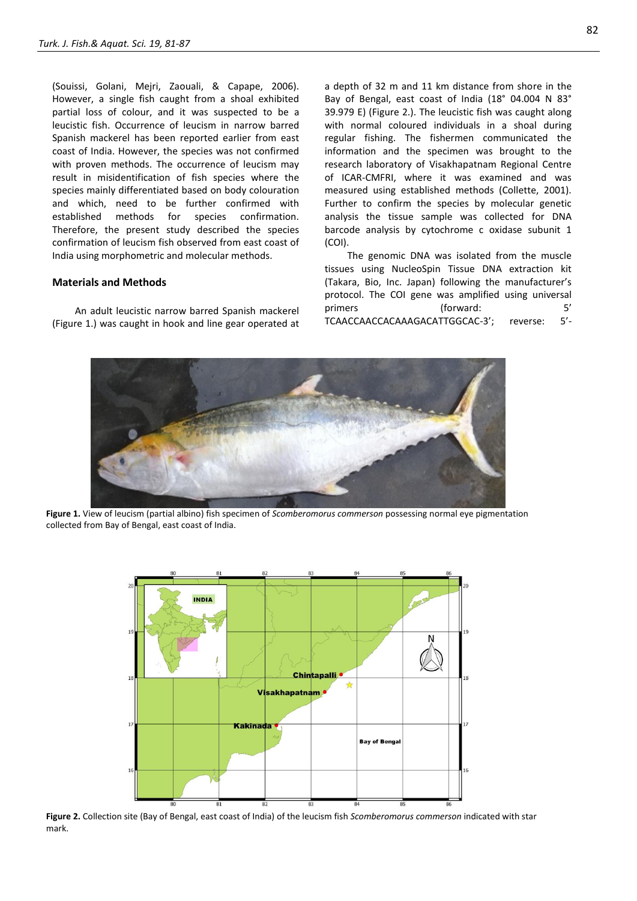(Souissi, Golani, Mejri, Zaouali, & Capape, 2006). However, a single fish caught from a shoal exhibited partial loss of colour, and it was suspected to be a leucistic fish. Occurrence of leucism in narrow barred Spanish mackerel has been reported earlier from east coast of India. However, the species was not confirmed with proven methods. The occurrence of leucism may result in misidentification of fish species where the species mainly differentiated based on body colouration and which, need to be further confirmed with established methods for species confirmation. Therefore, the present study described the species confirmation of leucism fish observed from east coast of India using morphometric and molecular methods.

#### **Materials and Methods**

An adult leucistic narrow barred Spanish mackerel (Figure 1.) was caught in hook and line gear operated at

a depth of 32 m and 11 km distance from shore in the Bay of Bengal, east coast of India (18° 04.004 N 83° 39.979 E) (Figure 2.). The leucistic fish was caught along with normal coloured individuals in a shoal during regular fishing. The fishermen communicated the information and the specimen was brought to the research laboratory of Visakhapatnam Regional Centre of ICAR-CMFRI, where it was examined and was measured using established methods (Collette, 2001). Further to confirm the species by molecular genetic analysis the tissue sample was collected for DNA barcode analysis by cytochrome c oxidase subunit 1 (COI).

The genomic DNA was isolated from the muscle tissues using NucleoSpin Tissue DNA extraction kit (Takara, Bio, Inc. Japan) following the manufacturer's protocol. The COI gene was amplified using universal primers (forward: 5' TCAACCAACCACAAAGACATTGGCAC-3'; reverse: 5'-



**Figure 1.** View of leucism (partial albino) fish specimen of *Scomberomorus commerson* possessing normal eye pigmentation collected from Bay of Bengal, east coast of India.



**Figure 2.** Collection site (Bay of Bengal, east coast of India) of the leucism fish *Scomberomorus commerson* indicated with star mark.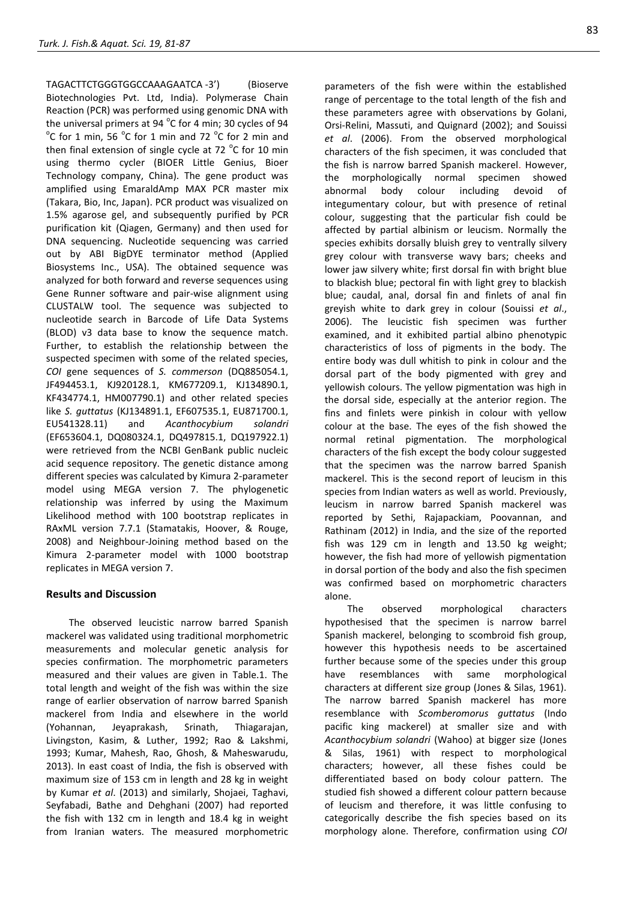TAGACTTCTGGGTGGCCAAAGAATCA -3') (Bioserve Biotechnologies Pvt. Ltd, India). Polymerase Chain Reaction (PCR) was performed using genomic DNA with the universal primers at 94  $^{\circ}$ C for 4 min; 30 cycles of 94  $\mathrm{^{\circ}C}$  for 1 min and  $\mathrm{^{\circ}C}$  for 2 min and  $\mathrm{^{\circ}C}$  for 2 min and then final extension of single cycle at 72  $^{\circ}$ C for 10 min using thermo cycler (BIOER Little Genius, Bioer Technology company, China). The gene product was amplified using EmaraldAmp MAX PCR master mix (Takara, Bio, Inc, Japan). PCR product was visualized on 1.5% agarose gel, and subsequently purified by PCR purification kit (Qiagen, Germany) and then used for DNA sequencing. Nucleotide sequencing was carried out by ABI BigDYE terminator method (Applied Biosystems Inc., USA). The obtained sequence was analyzed for both forward and reverse sequences using Gene Runner software and pair-wise alignment using CLUSTALW tool. The sequence was subjected to nucleotide search in Barcode of Life Data Systems (BLOD) v3 data base to know the sequence match. Further, to establish the relationship between the suspected specimen with some of the related species, *COI* gene sequences of *S. commerson* (DQ885054.1, JF494453.1, KJ920128.1, KM677209.1, KJ134890.1, KF434774.1, HM007790.1) and other related species like *S. guttatus* (KJ134891.1, EF607535.1, EU871700.1, EU541328.11) and *Acanthocybium solandri* (EF653604.1, DQ080324.1, DQ497815.1, DQ197922.1) were retrieved from the NCBI GenBank public nucleic acid sequence repository. The genetic distance among different species was calculated by Kimura 2-parameter model using MEGA version 7. The phylogenetic relationship was inferred by using the Maximum Likelihood method with 100 bootstrap replicates in RAxML version 7.7.1 (Stamatakis, Hoover, & Rouge, 2008) and Neighbour-Joining method based on the Kimura 2-parameter model with 1000 bootstrap replicates in MEGA version 7.

# **Results and Discussion**

The observed leucistic narrow barred Spanish mackerel was validated using traditional morphometric measurements and molecular genetic analysis for species confirmation. The morphometric parameters measured and their values are given in Table.1. The total length and weight of the fish was within the size range of earlier observation of narrow barred Spanish mackerel from India and elsewhere in the world (Yohannan, Jeyaprakash, Srinath, Thiagarajan, Livingston, Kasim, & Luther, 1992; Rao & Lakshmi, 1993; Kumar, Mahesh, Rao, Ghosh, & Maheswarudu, 2013). In east coast of India, the fish is observed with maximum size of 153 cm in length and 28 kg in weight by Kumar *et al*. (2013) and similarly, Shojaei, Taghavi, Seyfabadi, Bathe and Dehghani (2007) had reported the fish with 132 cm in length and 18.4 kg in weight from Iranian waters. The measured morphometric

parameters of the fish were within the established range of percentage to the total length of the fish and these parameters agree with observations by Golani, Orsi-Relini, Massuti, and Quignard (2002); and Souissi *et al*. (2006). From the observed morphological characters of the fish specimen, it was concluded that the fish is narrow barred Spanish mackerel. However, the morphologically normal specimen showed abnormal body colour including devoid of integumentary colour, but with presence of retinal colour, suggesting that the particular fish could be affected by partial albinism or leucism. Normally the species exhibits dorsally bluish grey to ventrally silvery grey colour with transverse wavy bars; cheeks and lower jaw silvery white; first dorsal fin with bright blue to blackish blue; pectoral fin with light grey to blackish blue; caudal, anal, dorsal fin and finlets of anal fin greyish white to dark grey in colour (Souissi *et al*., 2006). The leucistic fish specimen was further examined, and it exhibited partial albino phenotypic characteristics of loss of pigments in the body. The entire body was dull whitish to pink in colour and the dorsal part of the body pigmented with grey and yellowish colours. The yellow pigmentation was high in the dorsal side, especially at the anterior region. The fins and finlets were pinkish in colour with yellow colour at the base. The eyes of the fish showed the normal retinal pigmentation. The morphological characters of the fish except the body colour suggested that the specimen was the narrow barred Spanish mackerel. This is the second report of leucism in this species from Indian waters as well as world. Previously, leucism in narrow barred Spanish mackerel was reported by Sethi, Rajapackiam, Poovannan, and Rathinam (2012) in India, and the size of the reported fish was 129 cm in length and 13.50 kg weight; however, the fish had more of yellowish pigmentation in dorsal portion of the body and also the fish specimen was confirmed based on morphometric characters alone.

The observed morphological characters hypothesised that the specimen is narrow barrel Spanish mackerel, belonging to scombroid fish group, however this hypothesis needs to be ascertained further because some of the species under this group have resemblances with same morphological characters at different size group (Jones & Silas, 1961). The narrow barred Spanish mackerel has more resemblance with *Scomberomorus guttatus* (Indo pacific king mackerel) at smaller size and with *Acanthocybium solandri* (Wahoo) at bigger size (Jones & Silas, 1961) with respect to morphological characters; however, all these fishes could be differentiated based on body colour pattern. The studied fish showed a different colour pattern because of leucism and therefore, it was little confusing to categorically describe the fish species based on its morphology alone. Therefore, confirmation using *COI*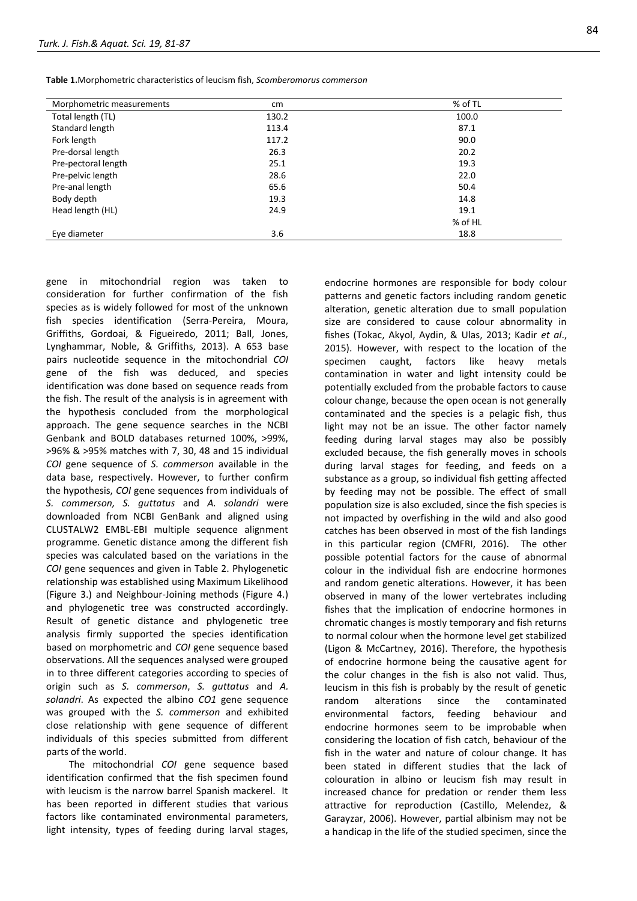**Table 1.**Morphometric characteristics of leucism fish, *Scomberomorus commerson*

| Morphometric measurements | cm    | % of TL |
|---------------------------|-------|---------|
| Total length (TL)         | 130.2 | 100.0   |
| Standard length           | 113.4 | 87.1    |
| Fork length               | 117.2 | 90.0    |
| Pre-dorsal length         | 26.3  | 20.2    |
| Pre-pectoral length       | 25.1  | 19.3    |
| Pre-pelvic length         | 28.6  | 22.0    |
| Pre-anal length           | 65.6  | 50.4    |
| Body depth                | 19.3  | 14.8    |
| Head length (HL)          | 24.9  | 19.1    |
|                           |       | % of HL |
| Eye diameter              | 3.6   | 18.8    |

gene in mitochondrial region was taken to consideration for further confirmation of the fish species as is widely followed for most of the unknown fish species identification (Serra-Pereira, Moura, Griffiths, Gordoai, & Figueiredo, 2011; Ball, Jones, Lynghammar, Noble, & Griffiths, 2013). A 653 base pairs nucleotide sequence in the mitochondrial *COI* gene of the fish was deduced, and species identification was done based on sequence reads from the fish. The result of the analysis is in agreement with the hypothesis concluded from the morphological approach. The gene sequence searches in the NCBI Genbank and BOLD databases returned 100%, >99%, >96% & >95% matches with 7, 30, 48 and 15 individual *COI* gene sequence of *S. commerson* available in the data base, respectively. However, to further confirm the hypothesis, *COI* gene sequences from individuals of *S. commerson, S. guttatus* and *A. solandri* were downloaded from NCBI GenBank and aligned using CLUSTALW2 EMBL-EBI multiple sequence alignment programme. Genetic distance among the different fish species was calculated based on the variations in the *COI* gene sequences and given in Table 2. Phylogenetic relationship was established using Maximum Likelihood (Figure 3.) and Neighbour-Joining methods (Figure 4.) and phylogenetic tree was constructed accordingly. Result of genetic distance and phylogenetic tree analysis firmly supported the species identification based on morphometric and *COI* gene sequence based observations. All the sequences analysed were grouped in to three different categories according to species of origin such as *S. commerson*, *S. guttatus* and *A. solandri*. As expected the albino *CO1* gene sequence was grouped with the *S. commerson* and exhibited close relationship with gene sequence of different individuals of this species submitted from different parts of the world.

The mitochondrial *COI* gene sequence based identification confirmed that the fish specimen found with leucism is the narrow barrel Spanish mackerel. It has been reported in different studies that various factors like contaminated environmental parameters, light intensity, types of feeding during larval stages,

endocrine hormones are responsible for body colour patterns and genetic factors including random genetic alteration, genetic alteration due to small population size are considered to cause colour abnormality in fishes (Tokac, Akyol, Aydin, & Ulas, 2013; Kadir *et al*., 2015). However, with respect to the location of the specimen caught, factors like heavy metals contamination in water and light intensity could be potentially excluded from the probable factors to cause colour change, because the open ocean is not generally contaminated and the species is a pelagic fish, thus light may not be an issue. The other factor namely feeding during larval stages may also be possibly excluded because, the fish generally moves in schools during larval stages for feeding, and feeds on a substance as a group, so individual fish getting affected by feeding may not be possible. The effect of small population size is also excluded, since the fish species is not impacted by overfishing in the wild and also good catches has been observed in most of the fish landings in this particular region (CMFRI, 2016). The other possible potential factors for the cause of abnormal colour in the individual fish are endocrine hormones and random genetic alterations. However, it has been observed in many of the lower vertebrates including fishes that the implication of endocrine hormones in chromatic changes is mostly temporary and fish returns to normal colour when the hormone level get stabilized (Ligon & McCartney, 2016). Therefore, the hypothesis of endocrine hormone being the causative agent for the colur changes in the fish is also not valid. Thus, leucism in this fish is probably by the result of genetic random alterations since the contaminated environmental factors, feeding behaviour and endocrine hormones seem to be improbable when considering the location of fish catch, behaviour of the fish in the water and nature of colour change. It has been stated in different studies that the lack of colouration in albino or leucism fish may result in increased chance for predation or render them less attractive for reproduction (Castillo, Melendez, & Garayzar, 2006). However, partial albinism may not be a handicap in the life of the studied specimen, since the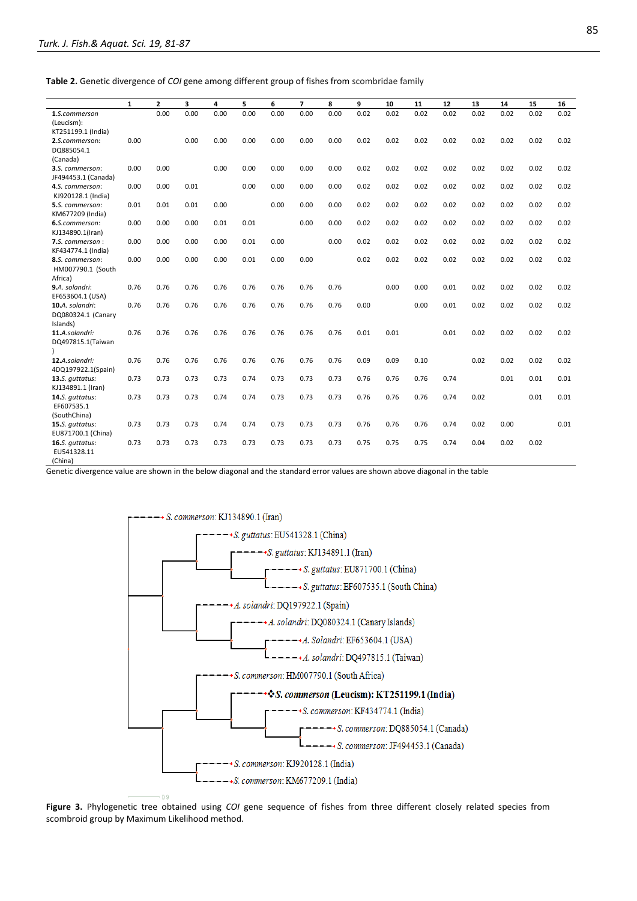**Table 2.** Genetic divergence of *COI* gene among different group of fishes from scombridae family

|                                             | $\mathbf{1}$ | $\mathbf{2}$ | 3    | 4    | 5    | 6    | $\overline{7}$ | 8    | 9    | 10   | 11   | 12   | 13   | 14   | 15   | 16   |
|---------------------------------------------|--------------|--------------|------|------|------|------|----------------|------|------|------|------|------|------|------|------|------|
| 1.S.commerson                               |              | 0.00         | 0.00 | 0.00 | 0.00 | 0.00 | 0.00           | 0.00 | 0.02 | 0.02 | 0.02 | 0.02 | 0.02 | 0.02 | 0.02 | 0.02 |
| (Leucism):                                  |              |              |      |      |      |      |                |      |      |      |      |      |      |      |      |      |
| KT251199.1 (India)                          |              |              |      |      |      |      |                |      |      |      |      |      |      |      |      |      |
| 2.S.commerson:                              | 0.00         |              | 0.00 | 0.00 | 0.00 | 0.00 | 0.00           | 0.00 | 0.02 | 0.02 | 0.02 | 0.02 | 0.02 | 0.02 | 0.02 | 0.02 |
| DQ885054.1                                  |              |              |      |      |      |      |                |      |      |      |      |      |      |      |      |      |
| (Canada)                                    |              |              |      |      |      |      |                |      |      |      |      |      |      |      |      |      |
| 3.S. commerson:                             | 0.00         | 0.00         |      | 0.00 | 0.00 | 0.00 | 0.00           | 0.00 | 0.02 | 0.02 | 0.02 | 0.02 | 0.02 | 0.02 | 0.02 | 0.02 |
| JF494453.1 (Canada)                         |              |              |      |      |      |      |                |      |      |      |      |      |      |      |      |      |
| 4.S. commerson:                             | 0.00         | 0.00         | 0.01 |      | 0.00 | 0.00 | 0.00           | 0.00 | 0.02 | 0.02 | 0.02 | 0.02 | 0.02 | 0.02 | 0.02 | 0.02 |
| KJ920128.1 (India)                          | 0.01         | 0.01         | 0.01 | 0.00 |      | 0.00 | 0.00           | 0.00 | 0.02 | 0.02 | 0.02 | 0.02 | 0.02 | 0.02 | 0.02 | 0.02 |
| <b>5.</b> S. commerson:<br>KM677209 (India) |              |              |      |      |      |      |                |      |      |      |      |      |      |      |      |      |
| 6.S.commerson:                              | 0.00         | 0.00         | 0.00 | 0.01 | 0.01 |      | 0.00           | 0.00 | 0.02 | 0.02 | 0.02 | 0.02 | 0.02 | 0.02 | 0.02 | 0.02 |
| KJ134890.1(Iran)                            |              |              |      |      |      |      |                |      |      |      |      |      |      |      |      |      |
| 7.S. commerson :                            | 0.00         | 0.00         | 0.00 | 0.00 | 0.01 | 0.00 |                | 0.00 | 0.02 | 0.02 | 0.02 | 0.02 | 0.02 | 0.02 | 0.02 | 0.02 |
| KF434774.1 (India)                          |              |              |      |      |      |      |                |      |      |      |      |      |      |      |      |      |
| 8.S. commerson:                             | 0.00         | 0.00         | 0.00 | 0.00 | 0.01 | 0.00 | 0.00           |      | 0.02 | 0.02 | 0.02 | 0.02 | 0.02 | 0.02 | 0.02 | 0.02 |
| HM007790.1 (South                           |              |              |      |      |      |      |                |      |      |      |      |      |      |      |      |      |
| Africa)                                     |              |              |      |      |      |      |                |      |      |      |      |      |      |      |      |      |
| 9.A. solandri:                              | 0.76         | 0.76         | 0.76 | 0.76 | 0.76 | 0.76 | 0.76           | 0.76 |      | 0.00 | 0.00 | 0.01 | 0.02 | 0.02 | 0.02 | 0.02 |
| EF653604.1 (USA)                            |              |              |      |      |      |      |                |      |      |      |      |      |      |      |      |      |
| 10.A. solandri:                             | 0.76         | 0.76         | 0.76 | 0.76 | 0.76 | 0.76 | 0.76           | 0.76 | 0.00 |      | 0.00 | 0.01 | 0.02 | 0.02 | 0.02 | 0.02 |
| DQ080324.1 (Canary                          |              |              |      |      |      |      |                |      |      |      |      |      |      |      |      |      |
| Islands)                                    |              |              |      |      |      |      |                |      |      |      |      |      |      |      |      |      |
| 11.A.solandri:                              | 0.76         | 0.76         | 0.76 | 0.76 | 0.76 | 0.76 | 0.76           | 0.76 | 0.01 | 0.01 |      | 0.01 | 0.02 | 0.02 | 0.02 | 0.02 |
| DQ497815.1(Taiwan                           |              |              |      |      |      |      |                |      |      |      |      |      |      |      |      |      |
|                                             |              |              |      |      |      |      |                |      |      |      |      |      |      |      |      |      |
| 12.A.solandri:                              | 0.76         | 0.76         | 0.76 | 0.76 | 0.76 | 0.76 | 0.76           | 0.76 | 0.09 | 0.09 | 0.10 |      | 0.02 | 0.02 | 0.02 | 0.02 |
| 4DQ197922.1(Spain)<br>13.S. guttatus:       | 0.73         | 0.73         | 0.73 | 0.73 | 0.74 | 0.73 | 0.73           | 0.73 | 0.76 | 0.76 | 0.76 | 0.74 |      | 0.01 | 0.01 | 0.01 |
| KJ134891.1 (Iran)                           |              |              |      |      |      |      |                |      |      |      |      |      |      |      |      |      |
| 14.S. guttatus:                             | 0.73         | 0.73         | 0.73 | 0.74 | 0.74 | 0.73 | 0.73           | 0.73 | 0.76 | 0.76 | 0.76 | 0.74 | 0.02 |      | 0.01 | 0.01 |
| EF607535.1                                  |              |              |      |      |      |      |                |      |      |      |      |      |      |      |      |      |
| (SouthChina)                                |              |              |      |      |      |      |                |      |      |      |      |      |      |      |      |      |
| 15.S. guttatus:                             | 0.73         | 0.73         | 0.73 | 0.74 | 0.74 | 0.73 | 0.73           | 0.73 | 0.76 | 0.76 | 0.76 | 0.74 | 0.02 | 0.00 |      | 0.01 |
| EU871700.1 (China)                          |              |              |      |      |      |      |                |      |      |      |      |      |      |      |      |      |
| 16.S. guttatus:                             | 0.73         | 0.73         | 0.73 | 0.73 | 0.73 | 0.73 | 0.73           | 0.73 | 0.75 | 0.75 | 0.75 | 0.74 | 0.04 | 0.02 | 0.02 |      |
| EU541328.11                                 |              |              |      |      |      |      |                |      |      |      |      |      |      |      |      |      |
| (China)                                     |              |              |      |      |      |      |                |      |      |      |      |      |      |      |      |      |

Genetic divergence value are shown in the below diagonal and the standard error values are shown above diagonal in the table



**Figure 3.** Phylogenetic tree obtained using *COI* gene sequence of fishes from three different closely related species from scombroid group by Maximum Likelihood method.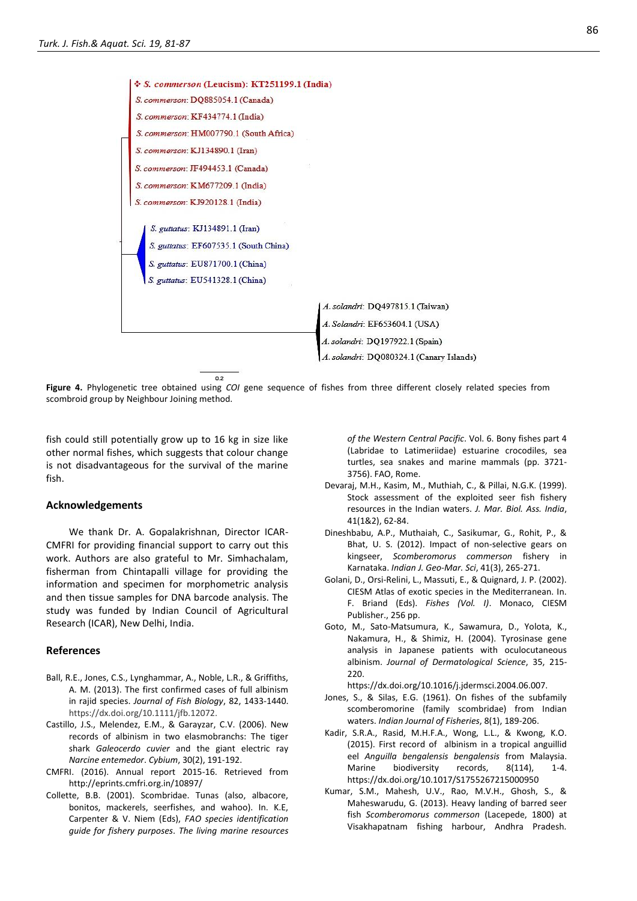

**Figure 4.** Phylogenetic tree obtained using *COI* gene sequence of fishes from three different closely related species from scombroid group by Neighbour Joining method.

fish could still potentially grow up to 16 kg in size like other normal fishes, which suggests that colour change is not disadvantageous for the survival of the marine fish.

### **Acknowledgements**

We thank Dr. A. Gopalakrishnan, Director ICAR-CMFRI for providing financial support to carry out this work. Authors are also grateful to Mr. Simhachalam, fisherman from Chintapalli village for providing the information and specimen for morphometric analysis and then tissue samples for DNA barcode analysis. The study was funded by Indian Council of Agricultural Research (ICAR), New Delhi, India.

#### **References**

- Ball, R.E., Jones, C.S., Lynghammar, A., Noble, L.R., & Griffiths, A. M. (2013). The first confirmed cases of full albinism in rajid species. *Journal of Fish Biology*, 82, 1433-1440. https://dx.doi.org/10.1111/jfb.12072.
- Castillo, J.S., Melendez, E.M., & Garayzar, C.V. (2006). New records of albinism in two elasmobranchs: The tiger shark *Galeocerdo cuvier* and the giant electric ray *Narcine entemedor*. *Cybium*, 30(2), 191-192.
- CMFRI. (2016). Annual report 2015-16. Retrieved from http://eprints.cmfri.org.in/10897/
- Collette, B.B. (2001). Scombridae. Tunas (also, albacore, bonitos, mackerels, seerfishes, and wahoo). In. K.E, Carpenter & V. Niem (Eds), *FAO species identification guide for fishery purposes*. *The living marine resources*

*of the Western Central Pacific*. Vol. 6. Bony fishes part 4 (Labridae to Latimeriidae) estuarine crocodiles, sea turtles, sea snakes and marine mammals (pp. 3721- 3756). FAO, Rome.

- Devaraj, M.H., Kasim, M., Muthiah, C., & Pillai, N.G.K. (1999). Stock assessment of the exploited seer fish fishery resources in the Indian waters. *J. Mar. Biol. Ass. India*, 41(1&2), 62-84.
- Dineshbabu, A.P., Muthaiah, C., Sasikumar, G., Rohit, P., & Bhat, U. S. (2012). Impact of non-selective gears on kingseer, *Scomberomorus commerson* fishery in Karnataka. *Indian J. Geo-Mar. Sci*, 41(3), 265-271.
- Golani, D., Orsi-Relini, L., Massuti, E., & Quignard, J. P. (2002). CIESM Atlas of exotic species in the Mediterranean. In. F. Briand (Eds). *Fishes (Vol. I)*. Monaco, CIESM Publisher., 256 pp.
- Goto, M., Sato-Matsumura, K., Sawamura, D., Yolota, K., Nakamura, H., & Shimiz, H. (2004). Tyrosinase gene analysis in Japanese patients with oculocutaneous albinism. *Journal of Dermatological Science*, 35, 215- 220.

https://dx.doi.org/10.1016/j.jdermsci.2004.06.007.

- Jones, S., & Silas, E.G. (1961). On fishes of the subfamily scomberomorine (family scombridae) from Indian waters. *Indian Journal of Fisheries*, 8(1), 189-206.
- Kadir, S.R.A., Rasid, M.H.F.A., Wong, L.L., & Kwong, K.O. (2015). First record of albinism in a tropical anguillid eel *Anguilla bengalensis bengalensis* from Malaysia. Marine biodiversity records, 8(114), 1-4. https://dx.doi.org/10.1017/S1755267215000950
- Kumar, S.M., Mahesh, U.V., Rao, M.V.H., Ghosh, S., & Maheswarudu, G. (2013). Heavy landing of barred seer fish *Scomberomorus commerson* (Lacepede, 1800) at Visakhapatnam fishing harbour, Andhra Pradesh*.*